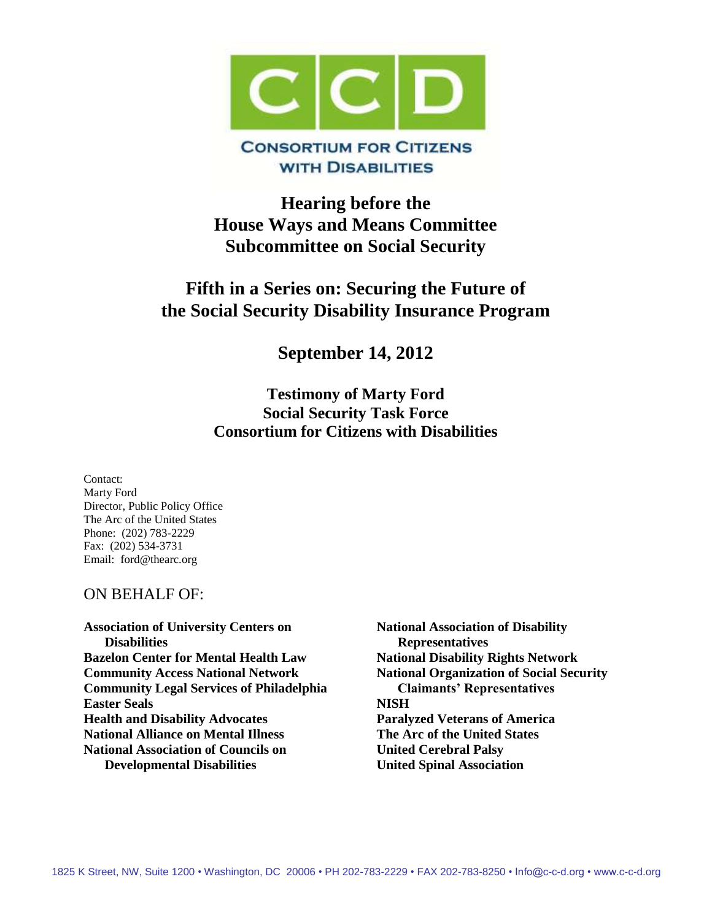

# **WITH DISABILITIES**

# **Hearing before the House Ways and Means Committee Subcommittee on Social Security**

# **Fifth in a Series on: Securing the Future of the Social Security Disability Insurance Program**

**September 14, 2012** 

# **Testimony of Marty Ford Social Security Task Force Consortium for Citizens with Disabilities**

Contact: Marty Ford Director, Public Policy Office The Arc of the United States Phone: (202) 783-2229 Fax: (202) 534-3731 Email: ford@thearc.org

# ON BEHALF OF:

**Association of University Centers on Disabilities Bazelon Center for Mental Health Law Community Access National Network Community Legal Services of Philadelphia Easter Seals Health and Disability Advocates National Alliance on Mental Illness National Association of Councils on Developmental Disabilities**

**National Association of Disability Representatives National Disability Rights Network National Organization of Social Security Claimants' Representatives NISH Paralyzed Veterans of America The Arc of the United States United Cerebral Palsy United Spinal Association**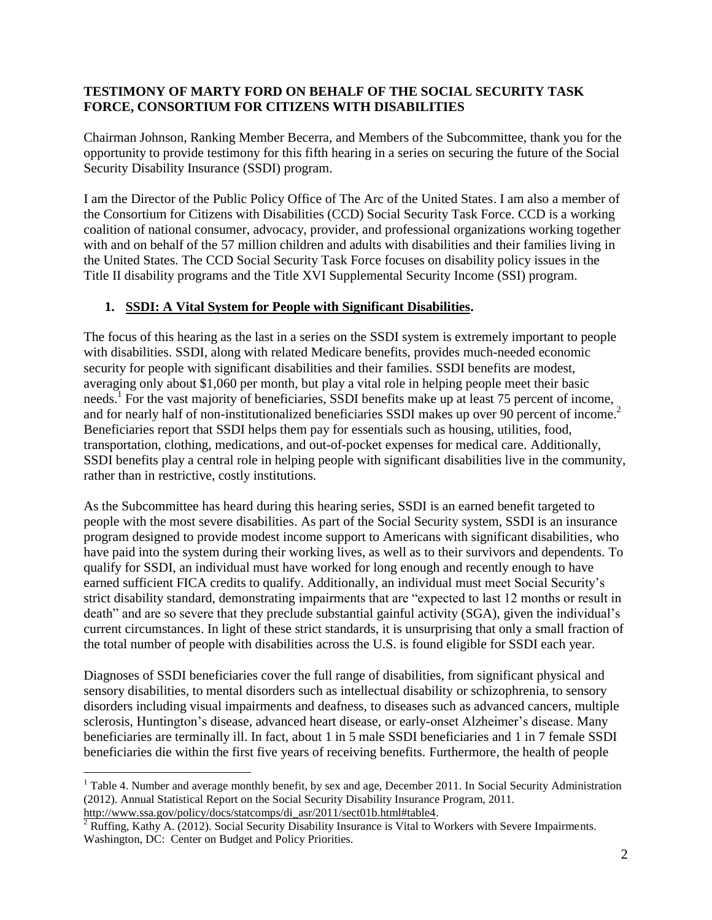#### **TESTIMONY OF MARTY FORD ON BEHALF OF THE SOCIAL SECURITY TASK FORCE, CONSORTIUM FOR CITIZENS WITH DISABILITIES**

Chairman Johnson, Ranking Member Becerra, and Members of the Subcommittee, thank you for the opportunity to provide testimony for this fifth hearing in a series on securing the future of the Social Security Disability Insurance (SSDI) program.

I am the Director of the Public Policy Office of The Arc of the United States. I am also a member of the Consortium for Citizens with Disabilities (CCD) Social Security Task Force. CCD is a working coalition of national consumer, advocacy, provider, and professional organizations working together with and on behalf of the 57 million children and adults with disabilities and their families living in the United States. The CCD Social Security Task Force focuses on disability policy issues in the Title II disability programs and the Title XVI Supplemental Security Income (SSI) program.

#### **1. SSDI: A Vital System for People with Significant Disabilities.**

The focus of this hearing as the last in a series on the SSDI system is extremely important to people with disabilities. SSDI, along with related Medicare benefits, provides much-needed economic security for people with significant disabilities and their families. SSDI benefits are modest, averaging only about \$1,060 per month, but play a vital role in helping people meet their basic needs.<sup>1</sup> For the vast majority of beneficiaries, SSDI benefits make up at least 75 percent of income, and for nearly half of non-institutionalized beneficiaries SSDI makes up over 90 percent of income.<sup>2</sup> Beneficiaries report that SSDI helps them pay for essentials such as housing, utilities, food, transportation, clothing, medications, and out-of-pocket expenses for medical care. Additionally, SSDI benefits play a central role in helping people with significant disabilities live in the community, rather than in restrictive, costly institutions.

As the Subcommittee has heard during this hearing series, SSDI is an earned benefit targeted to people with the most severe disabilities. As part of the Social Security system, SSDI is an insurance program designed to provide modest income support to Americans with significant disabilities, who have paid into the system during their working lives, as well as to their survivors and dependents. To qualify for SSDI, an individual must have worked for long enough and recently enough to have earned sufficient FICA credits to qualify. Additionally, an individual must meet Social Security's strict disability standard, demonstrating impairments that are "expected to last 12 months or result in death" and are so severe that they preclude substantial gainful activity (SGA), given the individual's current circumstances. In light of these strict standards, it is unsurprising that only a small fraction of the total number of people with disabilities across the U.S. is found eligible for SSDI each year.

Diagnoses of SSDI beneficiaries cover the full range of disabilities, from significant physical and sensory disabilities, to mental disorders such as intellectual disability or schizophrenia, to sensory disorders including visual impairments and deafness, to diseases such as advanced cancers, multiple sclerosis, Huntington's disease, advanced heart disease, or early-onset Alzheimer's disease. Many beneficiaries are terminally ill. In fact, about 1 in 5 male SSDI beneficiaries and 1 in 7 female SSDI beneficiaries die within the first five years of receiving benefits. Furthermore, the health of people

<sup>&</sup>lt;sup>1</sup> Table 4. Number and average monthly benefit, by sex and age, December 2011. In Social Security Administration (2012). Annual Statistical Report on the Social Security Disability Insurance Program, 2011. [http://www.ssa.gov/policy/docs/statcomps/di\\_asr/2011/sect01b.html#table4.](http://www.ssa.gov/policy/docs/statcomps/di_asr/2011/sect01b.html#table4)

 $2$  Ruffing, Kathy A. (2012). Social Security Disability Insurance is Vital to Workers with Severe Impairments. Washington, DC: Center on Budget and Policy Priorities.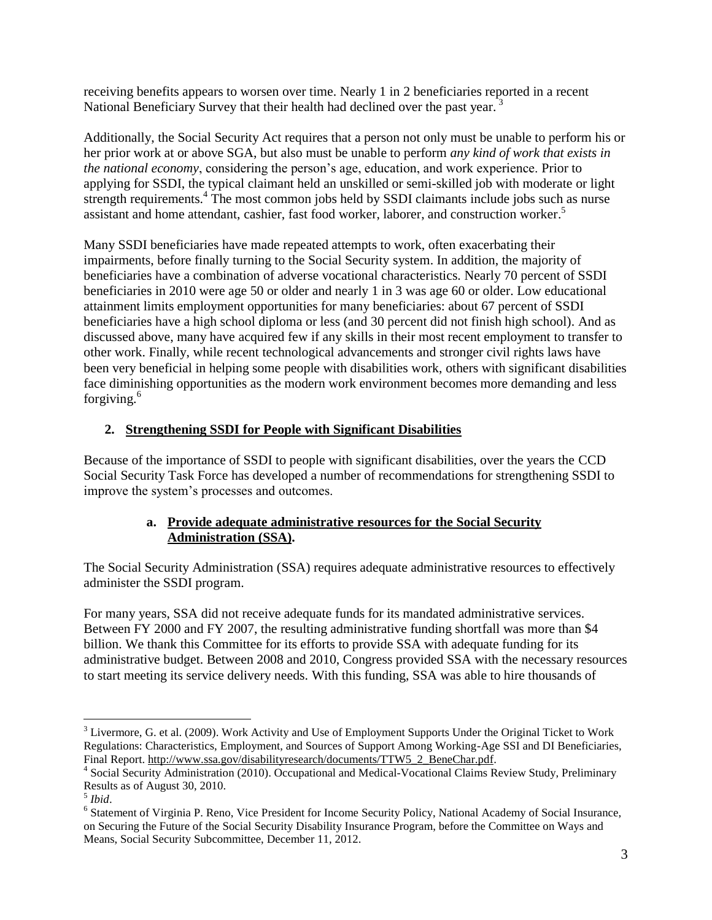receiving benefits appears to worsen over time. Nearly 1 in 2 beneficiaries reported in a recent National Beneficiary Survey that their health had declined over the past year.<sup>3</sup>

Additionally, the Social Security Act requires that a person not only must be unable to perform his or her prior work at or above SGA, but also must be unable to perform *any kind of work that exists in the national economy*, considering the person's age, education, and work experience. Prior to applying for SSDI, the typical claimant held an unskilled or semi-skilled job with moderate or light strength requirements.<sup>4</sup> The most common jobs held by SSDI claimants include jobs such as nurse assistant and home attendant, cashier, fast food worker, laborer, and construction worker. 5

Many SSDI beneficiaries have made repeated attempts to work, often exacerbating their impairments, before finally turning to the Social Security system. In addition, the majority of beneficiaries have a combination of adverse vocational characteristics. Nearly 70 percent of SSDI beneficiaries in 2010 were age 50 or older and nearly 1 in 3 was age 60 or older. Low educational attainment limits employment opportunities for many beneficiaries: about 67 percent of SSDI beneficiaries have a high school diploma or less (and 30 percent did not finish high school). And as discussed above, many have acquired few if any skills in their most recent employment to transfer to other work. Finally, while recent technological advancements and stronger civil rights laws have been very beneficial in helping some people with disabilities work, others with significant disabilities face diminishing opportunities as the modern work environment becomes more demanding and less forgiving.<sup>6</sup>

#### **2. Strengthening SSDI for People with Significant Disabilities**

Because of the importance of SSDI to people with significant disabilities, over the years the CCD Social Security Task Force has developed a number of recommendations for strengthening SSDI to improve the system's processes and outcomes.

#### **a. Provide adequate administrative resources for the Social Security Administration (SSA).**

The Social Security Administration (SSA) requires adequate administrative resources to effectively administer the SSDI program.

For many years, SSA did not receive adequate funds for its mandated administrative services. Between FY 2000 and FY 2007, the resulting administrative funding shortfall was more than \$4 billion. We thank this Committee for its efforts to provide SSA with adequate funding for its administrative budget. Between 2008 and 2010, Congress provided SSA with the necessary resources to start meeting its service delivery needs. With this funding, SSA was able to hire thousands of

<sup>&</sup>lt;sup>3</sup> Livermore, G. et al. (2009). Work Activity and Use of Employment Supports Under the Original Ticket to Work Regulations: Characteristics, Employment, and Sources of Support Among Working-Age SSI and DI Beneficiaries, Final Report. [http://www.ssa.gov/disabilityresearch/documents/TTW5\\_2\\_BeneChar.pdf.](http://www.ssa.gov/disabilityresearch/documents/TTW5_2_BeneChar.pdf)

<sup>&</sup>lt;sup>4</sup> Social Security Administration (2010). Occupational and Medical-Vocational Claims Review Study, Preliminary Results as of August 30, 2010.

<sup>5</sup> *Ibid*.

<sup>&</sup>lt;sup>6</sup> Statement of Virginia P. Reno, Vice President for Income Security Policy, National Academy of Social Insurance, on Securing the Future of the Social Security Disability Insurance Program, before the Committee on Ways and Means, Social Security Subcommittee, December 11, 2012.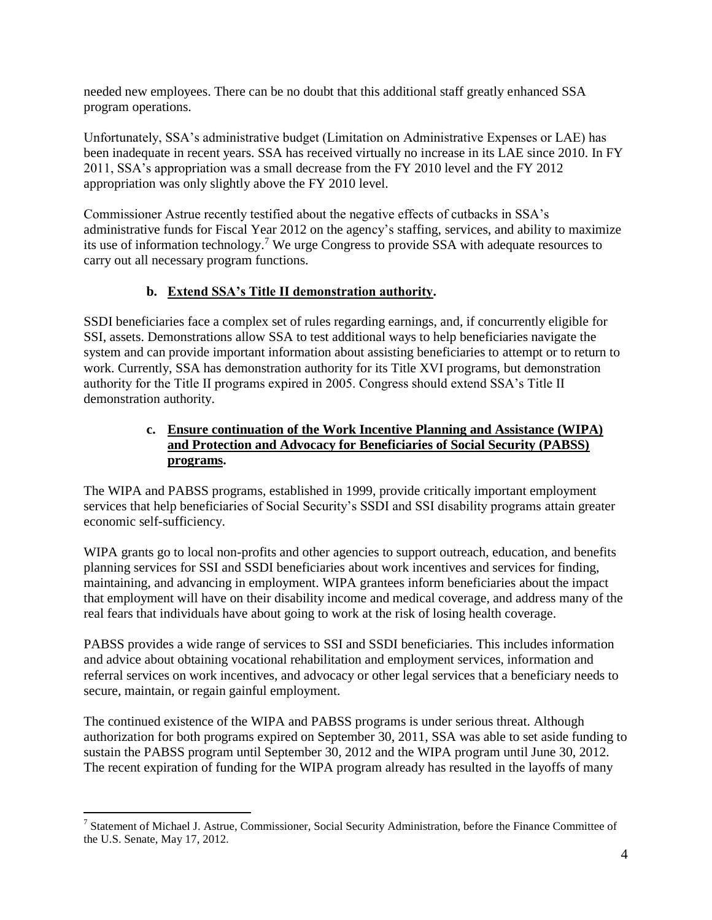needed new employees. There can be no doubt that this additional staff greatly enhanced SSA program operations.

Unfortunately, SSA's administrative budget (Limitation on Administrative Expenses or LAE) has been inadequate in recent years. SSA has received virtually no increase in its LAE since 2010. In FY 2011, SSA's appropriation was a small decrease from the FY 2010 level and the FY 2012 appropriation was only slightly above the FY 2010 level.

Commissioner Astrue recently testified about the negative effects of cutbacks in SSA's administrative funds for Fiscal Year 2012 on the agency's staffing, services, and ability to maximize its use of information technology. <sup>7</sup> We urge Congress to provide SSA with adequate resources to carry out all necessary program functions.

# **b. Extend SSA's Title II demonstration authority.**

SSDI beneficiaries face a complex set of rules regarding earnings, and, if concurrently eligible for SSI, assets. Demonstrations allow SSA to test additional ways to help beneficiaries navigate the system and can provide important information about assisting beneficiaries to attempt or to return to work. Currently, SSA has demonstration authority for its Title XVI programs, but demonstration authority for the Title II programs expired in 2005. Congress should extend SSA's Title II demonstration authority.

# **c. Ensure continuation of the Work Incentive Planning and Assistance (WIPA) and Protection and Advocacy for Beneficiaries of Social Security (PABSS) programs.**

The WIPA and PABSS programs, established in 1999, provide critically important employment services that help beneficiaries of Social Security's SSDI and SSI disability programs attain greater economic self-sufficiency.

WIPA grants go to local non-profits and other agencies to support outreach, education, and benefits planning services for SSI and SSDI beneficiaries about work incentives and services for finding, maintaining, and advancing in employment. WIPA grantees inform beneficiaries about the impact that employment will have on their disability income and medical coverage, and address many of the real fears that individuals have about going to work at the risk of losing health coverage.

PABSS provides a wide range of services to SSI and SSDI beneficiaries. This includes information and advice about obtaining vocational rehabilitation and employment services, information and referral services on work incentives, and advocacy or other legal services that a beneficiary needs to secure, maintain, or regain gainful employment.

The continued existence of the WIPA and PABSS programs is under serious threat. Although authorization for both programs expired on September 30, 2011, SSA was able to set aside funding to sustain the PABSS program until September 30, 2012 and the WIPA program until June 30, 2012. The recent expiration of funding for the WIPA program already has resulted in the layoffs of many

<sup>&</sup>lt;sup>7</sup> Statement of Michael J. Astrue, Commissioner, Social Security Administration, before the Finance Committee of the U.S. Senate, May 17, 2012.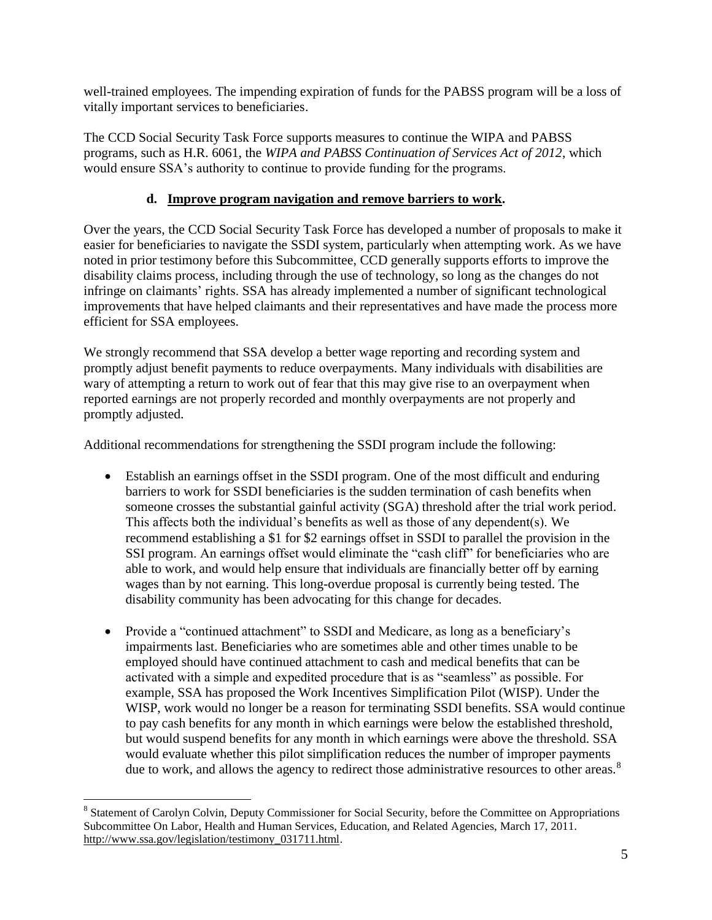well-trained employees. The impending expiration of funds for the PABSS program will be a loss of vitally important services to beneficiaries.

The CCD Social Security Task Force supports measures to continue the WIPA and PABSS programs, such as H.R. 6061, the *WIPA and PABSS Continuation of Services Act of 2012*, which would ensure SSA's authority to continue to provide funding for the programs.

# **d. Improve program navigation and remove barriers to work.**

Over the years, the CCD Social Security Task Force has developed a number of proposals to make it easier for beneficiaries to navigate the SSDI system, particularly when attempting work. As we have noted in prior testimony before this Subcommittee, CCD generally supports efforts to improve the disability claims process, including through the use of technology, so long as the changes do not infringe on claimants' rights. SSA has already implemented a number of significant technological improvements that have helped claimants and their representatives and have made the process more efficient for SSA employees.

We strongly recommend that SSA develop a better wage reporting and recording system and promptly adjust benefit payments to reduce overpayments. Many individuals with disabilities are wary of attempting a return to work out of fear that this may give rise to an overpayment when reported earnings are not properly recorded and monthly overpayments are not properly and promptly adjusted.

Additional recommendations for strengthening the SSDI program include the following:

- Establish an earnings offset in the SSDI program. One of the most difficult and enduring barriers to work for SSDI beneficiaries is the sudden termination of cash benefits when someone crosses the substantial gainful activity (SGA) threshold after the trial work period. This affects both the individual's benefits as well as those of any dependent(s). We recommend establishing a \$1 for \$2 earnings offset in SSDI to parallel the provision in the SSI program. An earnings offset would eliminate the "cash cliff" for beneficiaries who are able to work, and would help ensure that individuals are financially better off by earning wages than by not earning. This long-overdue proposal is currently being tested. The disability community has been advocating for this change for decades.
- Provide a "continued attachment" to SSDI and Medicare, as long as a beneficiary's impairments last. Beneficiaries who are sometimes able and other times unable to be employed should have continued attachment to cash and medical benefits that can be activated with a simple and expedited procedure that is as "seamless" as possible. For example, SSA has proposed the Work Incentives Simplification Pilot (WISP). Under the WISP, work would no longer be a reason for terminating SSDI benefits. SSA would continue to pay cash benefits for any month in which earnings were below the established threshold, but would suspend benefits for any month in which earnings were above the threshold. SSA would evaluate whether this pilot simplification reduces the number of improper payments due to work, and allows the agency to redirect those administrative resources to other areas.<sup>8</sup>

 $\overline{a}$ <sup>8</sup> Statement of Carolyn Colvin, Deputy Commissioner for Social Security, before the Committee on Appropriations Subcommittee On Labor, Health and Human Services, Education, and Related Agencies, March 17, 2011. [http://www.ssa.gov/legislation/testimony\\_031711.html.](http://www.ssa.gov/legislation/testimony_031711.html)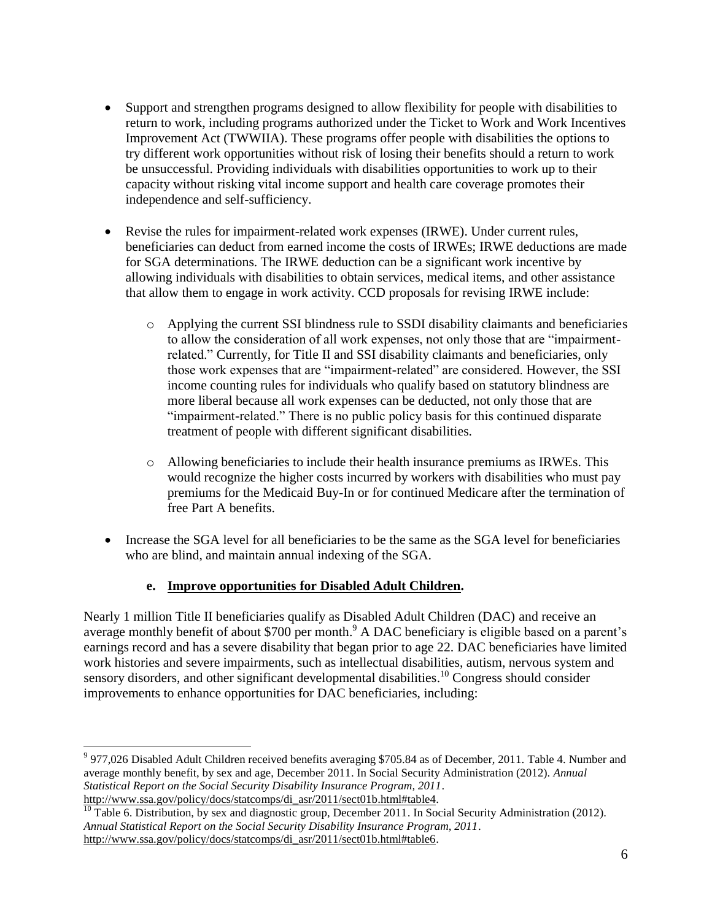- Support and strengthen programs designed to allow flexibility for people with disabilities to return to work, including programs authorized under the Ticket to Work and Work Incentives Improvement Act (TWWIIA). These programs offer people with disabilities the options to try different work opportunities without risk of losing their benefits should a return to work be unsuccessful. Providing individuals with disabilities opportunities to work up to their capacity without risking vital income support and health care coverage promotes their independence and self-sufficiency.
- Revise the rules for impairment-related work expenses (IRWE). Under current rules, beneficiaries can deduct from earned income the costs of IRWEs; IRWE deductions are made for SGA determinations. The IRWE deduction can be a significant work incentive by allowing individuals with disabilities to obtain services, medical items, and other assistance that allow them to engage in work activity. CCD proposals for revising IRWE include:
	- o Applying the current SSI blindness rule to SSDI disability claimants and beneficiaries to allow the consideration of all work expenses, not only those that are "impairmentrelated." Currently, for Title II and SSI disability claimants and beneficiaries, only those work expenses that are "impairment-related" are considered. However, the SSI income counting rules for individuals who qualify based on statutory blindness are more liberal because all work expenses can be deducted, not only those that are "impairment-related." There is no public policy basis for this continued disparate treatment of people with different significant disabilities.
	- o Allowing beneficiaries to include their health insurance premiums as IRWEs. This would recognize the higher costs incurred by workers with disabilities who must pay premiums for the Medicaid Buy-In or for continued Medicare after the termination of free Part A benefits.
- Increase the SGA level for all beneficiaries to be the same as the SGA level for beneficiaries who are blind, and maintain annual indexing of the SGA.

# **e. Improve opportunities for Disabled Adult Children.**

Nearly 1 million Title II beneficiaries qualify as Disabled Adult Children (DAC) and receive an average monthly benefit of about \$700 per month.<sup>9</sup> A DAC beneficiary is eligible based on a parent's earnings record and has a severe disability that began prior to age 22. DAC beneficiaries have limited work histories and severe impairments, such as intellectual disabilities, autism, nervous system and sensory disorders, and other significant developmental disabilities.<sup>10</sup> Congress should consider improvements to enhance opportunities for DAC beneficiaries, including:

 $\overline{a}$  $9977,026$  Disabled Adult Children received benefits averaging \$705.84 as of December, 2011. Table 4. Number and average monthly benefit, by sex and age, December 2011. In Social Security Administration (2012). *Annual Statistical Report on the Social Security Disability Insurance Program, 2011*. [http://www.ssa.gov/policy/docs/statcomps/di\\_asr/2011/sect01b.html#table4.](http://www.ssa.gov/policy/docs/statcomps/di_asr/2011/sect01b.html#table4)

 $\frac{10}{10}$  Table 6. Distribution, by sex and diagnostic group, December 2011. In Social Security Administration (2012). *Annual Statistical Report on the Social Security Disability Insurance Program, 2011*. [http://www.ssa.gov/policy/docs/statcomps/di\\_asr/2011/sect01b.html#table6.](http://www.ssa.gov/policy/docs/statcomps/di_asr/2011/sect01b.html#table6)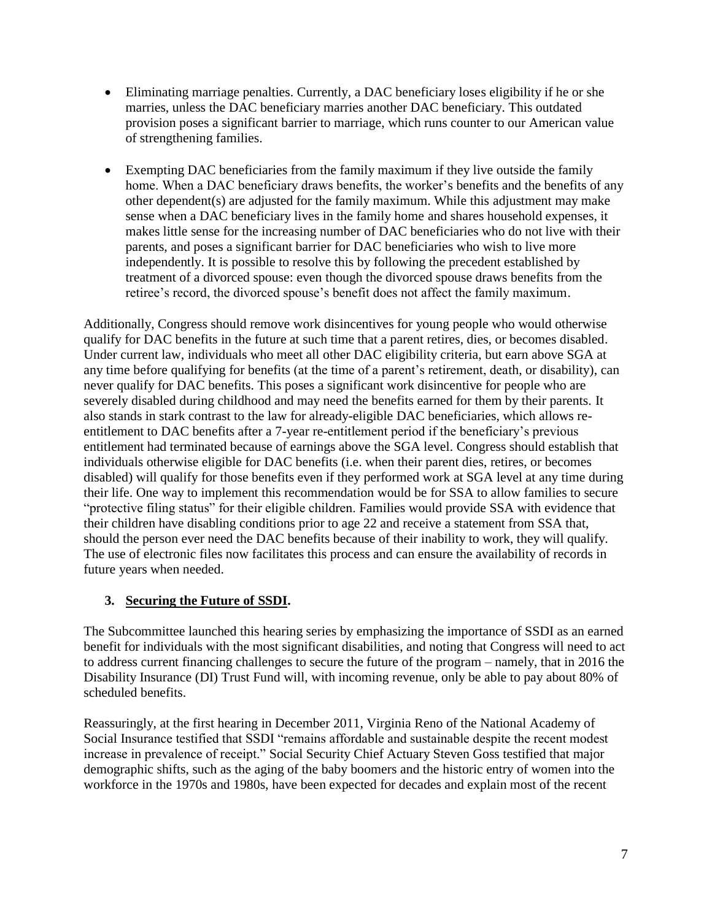- Eliminating marriage penalties. Currently, a DAC beneficiary loses eligibility if he or she marries, unless the DAC beneficiary marries another DAC beneficiary. This outdated provision poses a significant barrier to marriage, which runs counter to our American value of strengthening families.
- Exempting DAC beneficiaries from the family maximum if they live outside the family home. When a DAC beneficiary draws benefits, the worker's benefits and the benefits of any other dependent(s) are adjusted for the family maximum. While this adjustment may make sense when a DAC beneficiary lives in the family home and shares household expenses, it makes little sense for the increasing number of DAC beneficiaries who do not live with their parents, and poses a significant barrier for DAC beneficiaries who wish to live more independently. It is possible to resolve this by following the precedent established by treatment of a divorced spouse: even though the divorced spouse draws benefits from the retiree's record, the divorced spouse's benefit does not affect the family maximum.

Additionally, Congress should remove work disincentives for young people who would otherwise qualify for DAC benefits in the future at such time that a parent retires, dies, or becomes disabled. Under current law, individuals who meet all other DAC eligibility criteria, but earn above SGA at any time before qualifying for benefits (at the time of a parent's retirement, death, or disability), can never qualify for DAC benefits. This poses a significant work disincentive for people who are severely disabled during childhood and may need the benefits earned for them by their parents. It also stands in stark contrast to the law for already-eligible DAC beneficiaries, which allows reentitlement to DAC benefits after a 7-year re-entitlement period if the beneficiary's previous entitlement had terminated because of earnings above the SGA level. Congress should establish that individuals otherwise eligible for DAC benefits (i.e. when their parent dies, retires, or becomes disabled) will qualify for those benefits even if they performed work at SGA level at any time during their life. One way to implement this recommendation would be for SSA to allow families to secure "protective filing status" for their eligible children. Families would provide SSA with evidence that their children have disabling conditions prior to age 22 and receive a statement from SSA that, should the person ever need the DAC benefits because of their inability to work, they will qualify. The use of electronic files now facilitates this process and can ensure the availability of records in future years when needed.

# **3. Securing the Future of SSDI.**

The Subcommittee launched this hearing series by emphasizing the importance of SSDI as an earned benefit for individuals with the most significant disabilities, and noting that Congress will need to act to address current financing challenges to secure the future of the program – namely, that in 2016 the Disability Insurance (DI) Trust Fund will, with incoming revenue, only be able to pay about 80% of scheduled benefits.

Reassuringly, at the first hearing in December 2011, Virginia Reno of the National Academy of Social Insurance testified that SSDI "remains affordable and sustainable despite the recent modest increase in prevalence of receipt." Social Security Chief Actuary Steven Goss testified that major demographic shifts, such as the aging of the baby boomers and the historic entry of women into the workforce in the 1970s and 1980s, have been expected for decades and explain most of the recent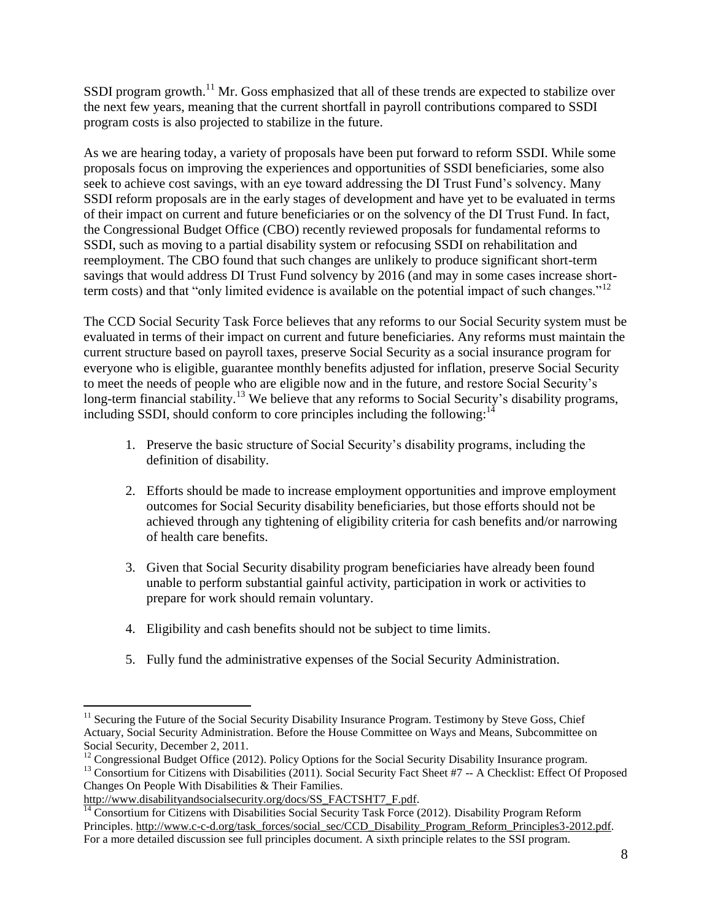SSDI program growth.<sup>11</sup> Mr. Goss emphasized that all of these trends are expected to stabilize over the next few years, meaning that the current shortfall in payroll contributions compared to SSDI program costs is also projected to stabilize in the future.

As we are hearing today, a variety of proposals have been put forward to reform SSDI. While some proposals focus on improving the experiences and opportunities of SSDI beneficiaries, some also seek to achieve cost savings, with an eye toward addressing the DI Trust Fund's solvency. Many SSDI reform proposals are in the early stages of development and have yet to be evaluated in terms of their impact on current and future beneficiaries or on the solvency of the DI Trust Fund. In fact, the Congressional Budget Office (CBO) recently reviewed proposals for fundamental reforms to SSDI, such as moving to a partial disability system or refocusing SSDI on rehabilitation and reemployment. The CBO found that such changes are unlikely to produce significant short-term savings that would address DI Trust Fund solvency by 2016 (and may in some cases increase shortterm costs) and that "only limited evidence is available on the potential impact of such changes."<sup>12</sup>

The CCD Social Security Task Force believes that any reforms to our Social Security system must be evaluated in terms of their impact on current and future beneficiaries. Any reforms must maintain the current structure based on payroll taxes, preserve Social Security as a social insurance program for everyone who is eligible, guarantee monthly benefits adjusted for inflation, preserve Social Security to meet the needs of people who are eligible now and in the future, and restore Social Security's long-term financial stability.<sup>13</sup> We believe that any reforms to Social Security's disability programs, including SSDI, should conform to core principles including the following: $14$ 

- 1. Preserve the basic structure of Social Security's disability programs, including the definition of disability.
- 2. Efforts should be made to increase employment opportunities and improve employment outcomes for Social Security disability beneficiaries, but those efforts should not be achieved through any tightening of eligibility criteria for cash benefits and/or narrowing of health care benefits.
- 3. Given that Social Security disability program beneficiaries have already been found unable to perform substantial gainful activity, participation in work or activities to prepare for work should remain voluntary.
- 4. Eligibility and cash benefits should not be subject to time limits.
- 5. Fully fund the administrative expenses of the Social Security Administration.

 $\overline{a}$ <sup>11</sup> Securing the Future of the Social Security Disability Insurance Program. Testimony by Steve Goss, Chief Actuary, Social Security Administration. Before the House Committee on Ways and Means, Subcommittee on Social Security, December 2, 2011.

<sup>&</sup>lt;sup>12</sup> Congressional Budget Office (2012). Policy Options for the Social Security Disability Insurance program. <sup>13</sup> Consortium for Citizens with Disabilities (2011). Social Security Fact Sheet #7 -- A Checklist: Effect Of Proposed Changes On People With Disabilities & Their Families.

[http://www.disabilityandsocialsecurity.org/docs/SS\\_FACTSHT7\\_F.pdf.](http://www.disabilityandsocialsecurity.org/docs/SS_FACTSHT7_F.pdf)

 $\frac{14}{14}$  Consortium for Citizens with Disabilities Social Security Task Force (2012). Disability Program Reform Principles. [http://www.c-c-d.org/task\\_forces/social\\_sec/CCD\\_Disability\\_Program\\_Reform\\_Principles3-2012.pdf.](http://www.c-c-d.org/task_forces/social_sec/CCD_Disability_Program_Reform_Principles3-2012.pdf) For a more detailed discussion see full principles document. A sixth principle relates to the SSI program.